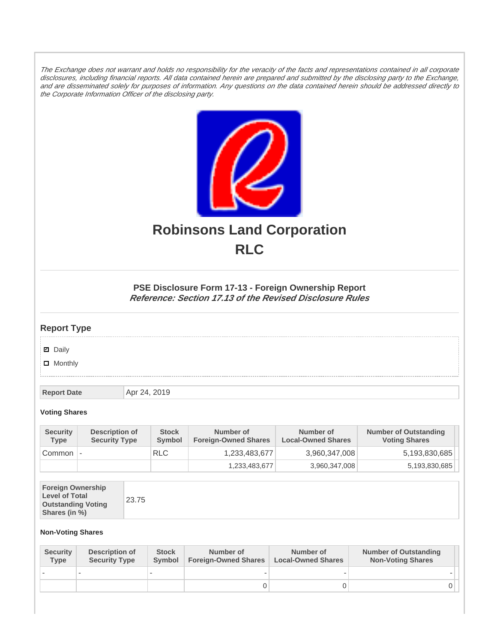The Exchange does not warrant and holds no responsibility for the veracity of the facts and representations contained in all corporate disclosures, including financial reports. All data contained herein are prepared and submitted by the disclosing party to the Exchange, and are disseminated solely for purposes of information. Any questions on the data contained herein should be addressed directly to the Corporate Information Officer of the disclosing party.



# **Robinsons Land Corporation RLC**

## **PSE Disclosure Form 17-13 - Foreign Ownership Report Reference: Section 17.13 of the Revised Disclosure Rules**

## **Report Type**

**Ø** Daily

**D** Monthly

**Report Date Apr 24, 2019** 

#### **Voting Shares**

| <b>Security</b><br><b>Type</b> | Description of<br><b>Security Type</b> | <b>Stock</b><br><b>Symbol</b> | Number of<br><b>Foreign-Owned Shares</b> | Number of<br><b>Local-Owned Shares</b> | <b>Number of Outstanding</b><br><b>Voting Shares</b> |
|--------------------------------|----------------------------------------|-------------------------------|------------------------------------------|----------------------------------------|------------------------------------------------------|
| Common                         | $\overline{\phantom{a}}$               | <b>RLC</b>                    | 1,233,483,677                            | 3,960,347,008                          | 5,193,830,685                                        |
|                                |                                        |                               | 1,233,483,677                            | 3,960,347,008                          | 5,193,830,685                                        |

| <b>Foreign Ownership</b><br><b>Level of Total</b><br><b>Outstanding Voting</b><br>Shares (in %) |
|-------------------------------------------------------------------------------------------------|
|-------------------------------------------------------------------------------------------------|

### **Non-Voting Shares**

| <b>Security</b><br><b>Type</b> | Description of<br><b>Security Type</b> | <b>Stock</b><br>Symbol | Number of<br><b>Foreign-Owned Shares</b> | Number of<br><b>Local-Owned Shares</b> | <b>Number of Outstanding</b><br><b>Non-Voting Shares</b> |
|--------------------------------|----------------------------------------|------------------------|------------------------------------------|----------------------------------------|----------------------------------------------------------|
|                                |                                        |                        |                                          |                                        |                                                          |
|                                |                                        |                        |                                          |                                        | 0 I                                                      |